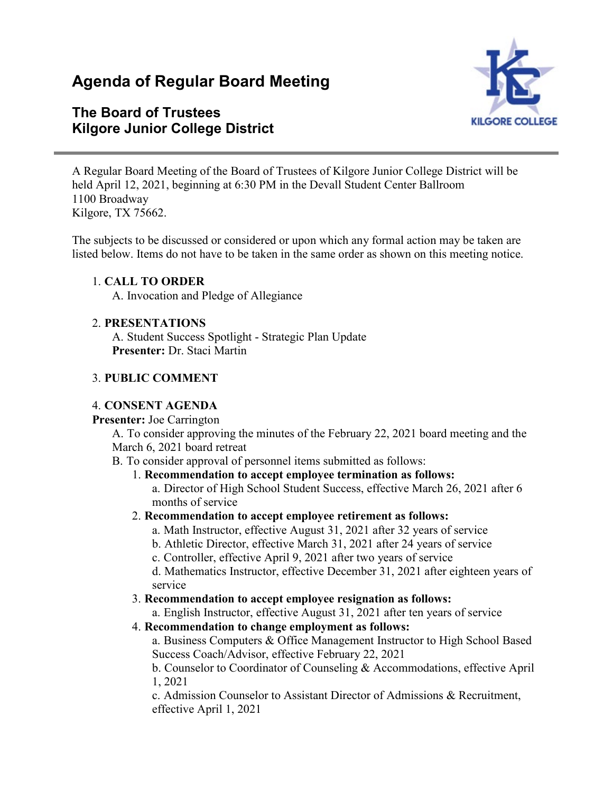# **Agenda of Regular Board Meeting**

# **The Board of Trustees Kilgore Junior College District**



A Regular Board Meeting of the Board of Trustees of Kilgore Junior College District will be held April 12, 2021, beginning at 6:30 PM in the Devall Student Center Ballroom 1100 Broadway Kilgore, TX 75662.

The subjects to be discussed or considered or upon which any formal action may be taken are listed below. Items do not have to be taken in the same order as shown on this meeting notice.

#### 1. **CALL TO ORDER**

A. Invocation and Pledge of Allegiance

#### 2. **PRESENTATIONS**

A. Student Success Spotlight - Strategic Plan Update **Presenter:** Dr. Staci Martin

#### 3. **PUBLIC COMMENT**

#### 4. **CONSENT AGENDA**

#### **Presenter:** Joe Carrington

A. To consider approving the minutes of the February 22, 2021 board meeting and the March 6, 2021 board retreat

#### B. To consider approval of personnel items submitted as follows:

1. **Recommendation to accept employee termination as follows:**

a. Director of High School Student Success, effective March 26, 2021 after 6 months of service

# 2. **Recommendation to accept employee retirement as follows:**

a. Math Instructor, effective August 31, 2021 after 32 years of service

b. Athletic Director, effective March 31, 2021 after 24 years of service

c. Controller, effective April 9, 2021 after two years of service

d. Mathematics Instructor, effective December 31, 2021 after eighteen years of service

# 3. **Recommendation to accept employee resignation as follows:**

a. English Instructor, effective August 31, 2021 after ten years of service

# 4. **Recommendation to change employment as follows:**

a. Business Computers & Office Management Instructor to High School Based Success Coach/Advisor, effective February 22, 2021

b. Counselor to Coordinator of Counseling & Accommodations, effective April 1, 2021

c. Admission Counselor to Assistant Director of Admissions & Recruitment, effective April 1, 2021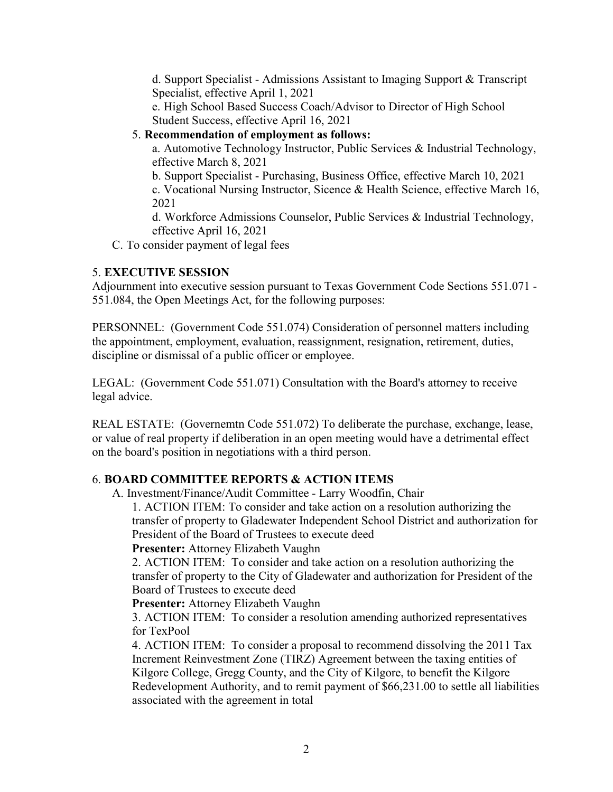d. Support Specialist - Admissions Assistant to Imaging Support & Transcript Specialist, effective April 1, 2021

e. High School Based Success Coach/Advisor to Director of High School Student Success, effective April 16, 2021

# 5. **Recommendation of employment as follows:**

a. Automotive Technology Instructor, Public Services & Industrial Technology, effective March 8, 2021

b. Support Specialist - Purchasing, Business Office, effective March 10, 2021 c. Vocational Nursing Instructor, Sicence & Health Science, effective March 16, 2021

d. Workforce Admissions Counselor, Public Services & Industrial Technology, effective April 16, 2021

C. To consider payment of legal fees

# 5. **EXECUTIVE SESSION**

Adjournment into executive session pursuant to Texas Government Code Sections 551.071 - 551.084, the Open Meetings Act, for the following purposes:

PERSONNEL: (Government Code 551.074) Consideration of personnel matters including the appointment, employment, evaluation, reassignment, resignation, retirement, duties, discipline or dismissal of a public officer or employee.

LEGAL: (Government Code 551.071) Consultation with the Board's attorney to receive legal advice.

REAL ESTATE: (Governemtn Code 551.072) To deliberate the purchase, exchange, lease, or value of real property if deliberation in an open meeting would have a detrimental effect on the board's position in negotiations with a third person.

# 6. **BOARD COMMITTEE REPORTS & ACTION ITEMS**

A. Investment/Finance/Audit Committee - Larry Woodfin, Chair

1. ACTION ITEM: To consider and take action on a resolution authorizing the transfer of property to Gladewater Independent School District and authorization for President of the Board of Trustees to execute deed

# **Presenter:** Attorney Elizabeth Vaughn

2. ACTION ITEM: To consider and take action on a resolution authorizing the transfer of property to the City of Gladewater and authorization for President of the Board of Trustees to execute deed

**Presenter:** Attorney Elizabeth Vaughn

3. ACTION ITEM: To consider a resolution amending authorized representatives for TexPool

4. ACTION ITEM: To consider a proposal to recommend dissolving the 2011 Tax Increment Reinvestment Zone (TIRZ) Agreement between the taxing entities of Kilgore College, Gregg County, and the City of Kilgore, to benefit the Kilgore Redevelopment Authority, and to remit payment of \$66,231.00 to settle all liabilities associated with the agreement in total